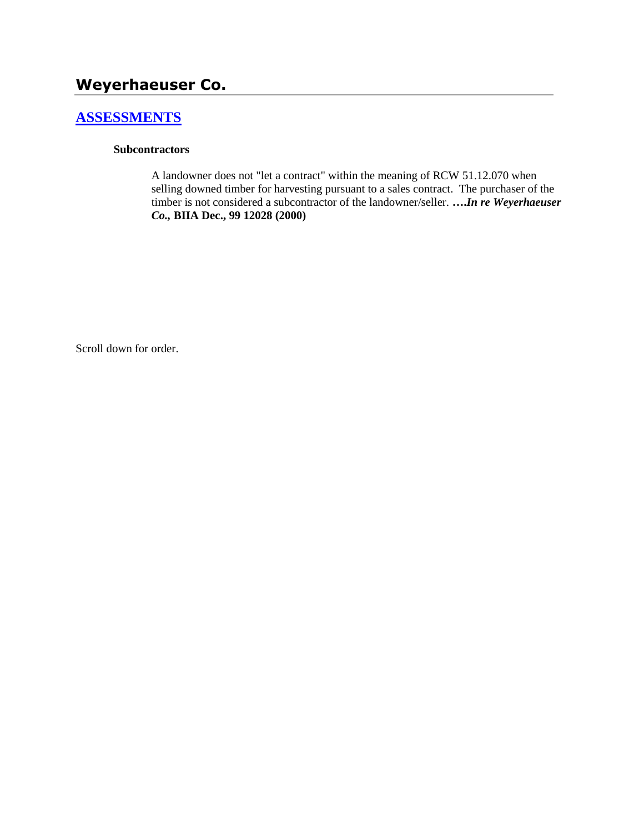# **Weyerhaeuser Co.**

# **[ASSESSMENTS](http://www.biia.wa.gov/SDSubjectIndex.html#ASSESSMENTS)**

#### **Subcontractors**

A landowner does not "let a contract" within the meaning of RCW 51.12.070 when selling downed timber for harvesting pursuant to a sales contract. The purchaser of the timber is not considered a subcontractor of the landowner/seller. **….***In re Weyerhaeuser Co.,* **BIIA Dec., 99 12028 (2000)** 

Scroll down for order.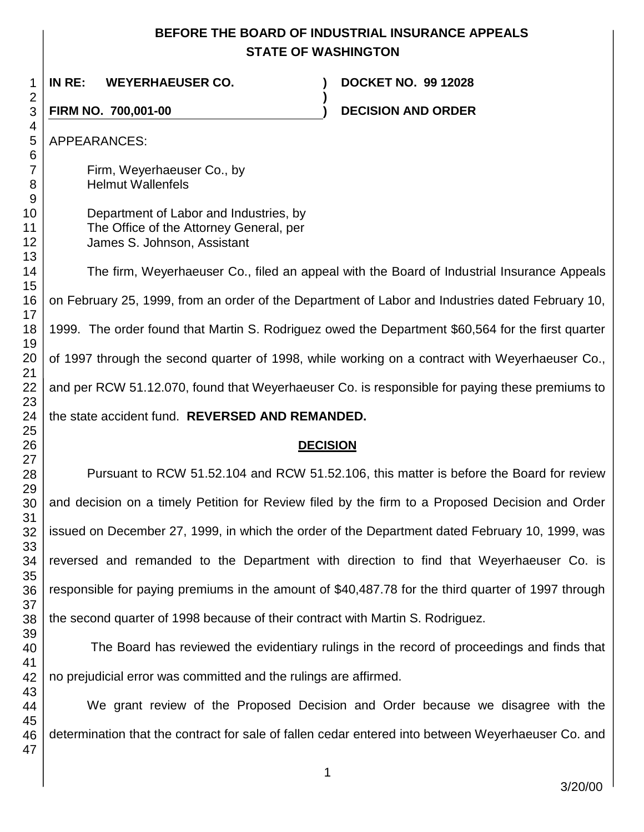## **BEFORE THE BOARD OF INDUSTRIAL INSURANCE APPEALS STATE OF WASHINGTON**

 **IN RE: WEYERHAEUSER CO. ) DOCKET NO. 99 12028 ) FIRM NO. 700,001-00 ) DECISION AND ORDER**  APPEARANCES: Firm, Weyerhaeuser Co., by Helmut Wallenfels Department of Labor and Industries, by The Office of the Attorney General, per James S. Johnson, Assistant The firm, Weyerhaeuser Co., filed an appeal with the Board of Industrial Insurance Appeals on February 25, 1999, from an order of the Department of Labor and Industries dated February 10, 1999. The order found that Martin S. Rodriguez owed the Department \$60,564 for the first quarter of 1997 through the second quarter of 1998, while working on a contract with Weyerhaeuser Co., and per RCW 51.12.070, found that Weyerhaeuser Co. is responsible for paying these premiums to the state accident fund. **REVERSED AND REMANDED. DECISION** Pursuant to RCW 51.52.104 and RCW 51.52.106, this matter is before the Board for review and decision on a timely Petition for Review filed by the firm to a Proposed Decision and Order issued on December 27, 1999, in which the order of the Department dated February 10, 1999, was reversed and remanded to the Department with direction to find that Weyerhaeuser Co. is responsible for paying premiums in the amount of \$40,487.78 for the third quarter of 1997 through the second quarter of 1998 because of their contract with Martin S. Rodriguez. The Board has reviewed the evidentiary rulings in the record of proceedings and finds that no prejudicial error was committed and the rulings are affirmed.

We grant review of the Proposed Decision and Order because we disagree with the determination that the contract for sale of fallen cedar entered into between Weyerhaeuser Co. and

3/20/00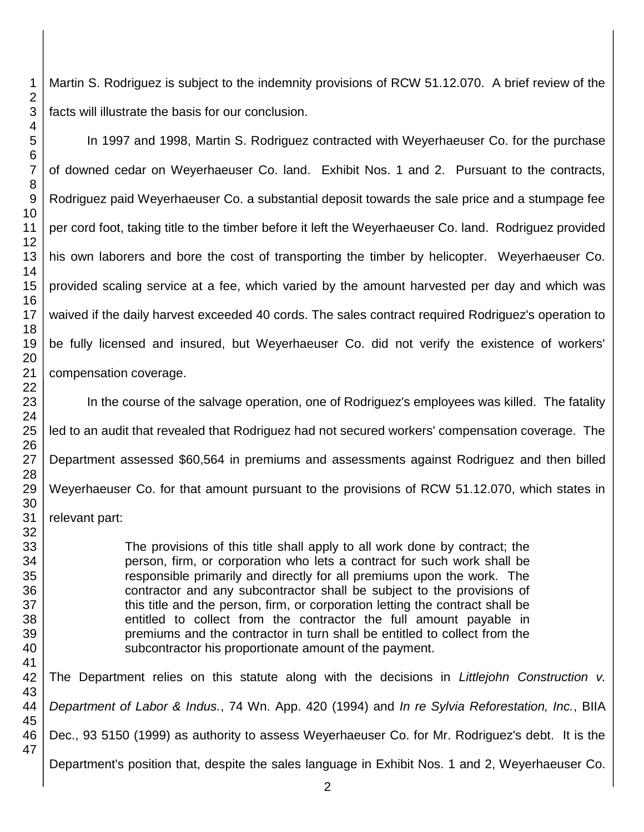Martin S. Rodriguez is subject to the indemnity provisions of RCW 51.12.070. A brief review of the facts will illustrate the basis for our conclusion.

of downed cedar on Weyerhaeuser Co. land. Exhibit Nos. 1 and 2. Pursuant to the contracts, Rodriguez paid Weyerhaeuser Co. a substantial deposit towards the sale price and a stumpage fee per cord foot, taking title to the timber before it left the Weyerhaeuser Co. land. Rodriguez provided his own laborers and bore the cost of transporting the timber by helicopter. Weyerhaeuser Co. provided scaling service at a fee, which varied by the amount harvested per day and which was waived if the daily harvest exceeded 40 cords. The sales contract required Rodriguez's operation to be fully licensed and insured, but Weyerhaeuser Co. did not verify the existence of workers' compensation coverage.

In the course of the salvage operation, one of Rodriguez's employees was killed. The fatality led to an audit that revealed that Rodriguez had not secured workers' compensation coverage. The Department assessed \$60,564 in premiums and assessments against Rodriguez and then billed Weyerhaeuser Co. for that amount pursuant to the provisions of RCW 51.12.070, which states in

> The provisions of this title shall apply to all work done by contract; the person, firm, or corporation who lets a contract for such work shall be responsible primarily and directly for all premiums upon the work. The contractor and any subcontractor shall be subject to the provisions of this title and the person, firm, or corporation letting the contract shall be entitled to collect from the contractor the full amount payable in premiums and the contractor in turn shall be entitled to collect from the subcontractor his proportionate amount of the payment.

The Department relies on this statute along with the decisions in *Littlejohn Construction v. Department of Labor & Indus.*, 74 Wn. App. 420 (1994) and *In re Sylvia Reforestation, Inc.*, BIIA Dec., 93 5150 (1999) as authority to assess Weyerhaeuser Co. for Mr. Rodriguez's debt. It is the Department's position that, despite the sales language in Exhibit Nos. 1 and 2, Weyerhaeuser Co.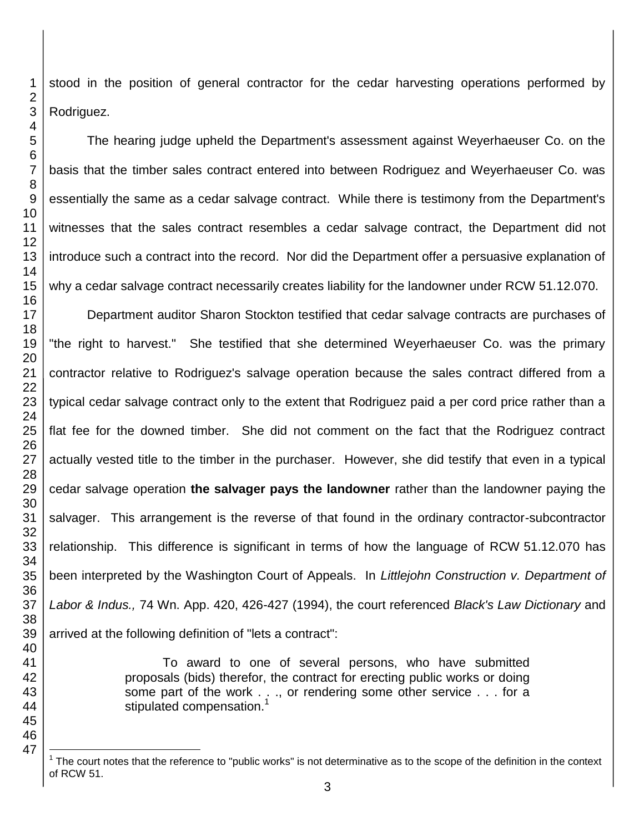stood in the position of general contractor for the cedar harvesting operations performed by Rodriguez.

The hearing judge upheld the Department's assessment against Weyerhaeuser Co. on the basis that the timber sales contract entered into between Rodriguez and Weyerhaeuser Co. was essentially the same as a cedar salvage contract. While there is testimony from the Department's witnesses that the sales contract resembles a cedar salvage contract, the Department did not introduce such a contract into the record. Nor did the Department offer a persuasive explanation of why a cedar salvage contract necessarily creates liability for the landowner under RCW 51.12.070.

Department auditor Sharon Stockton testified that cedar salvage contracts are purchases of "the right to harvest." She testified that she determined Weyerhaeuser Co. was the primary contractor relative to Rodriguez's salvage operation because the sales contract differed from a typical cedar salvage contract only to the extent that Rodriguez paid a per cord price rather than a flat fee for the downed timber. She did not comment on the fact that the Rodriguez contract actually vested title to the timber in the purchaser. However, she did testify that even in a typical cedar salvage operation **the salvager pays the landowner** rather than the landowner paying the salvager. This arrangement is the reverse of that found in the ordinary contractor-subcontractor relationship. This difference is significant in terms of how the language of RCW 51.12.070 has been interpreted by the Washington Court of Appeals. In *Littlejohn Construction v. Department of Labor & Indus.,* 74 Wn. App. 420, 426-427 (1994), the court referenced *Black's Law Dictionary* and arrived at the following definition of "lets a contract":

> To award to one of several persons, who have submitted proposals (bids) therefor, the contract for erecting public works or doing some part of the work . . ., or rendering some other service . . . for a stipulated compensation.<sup>1</sup>

l The court notes that the reference to "public works" is not determinative as to the scope of the definition in the context of RCW 51.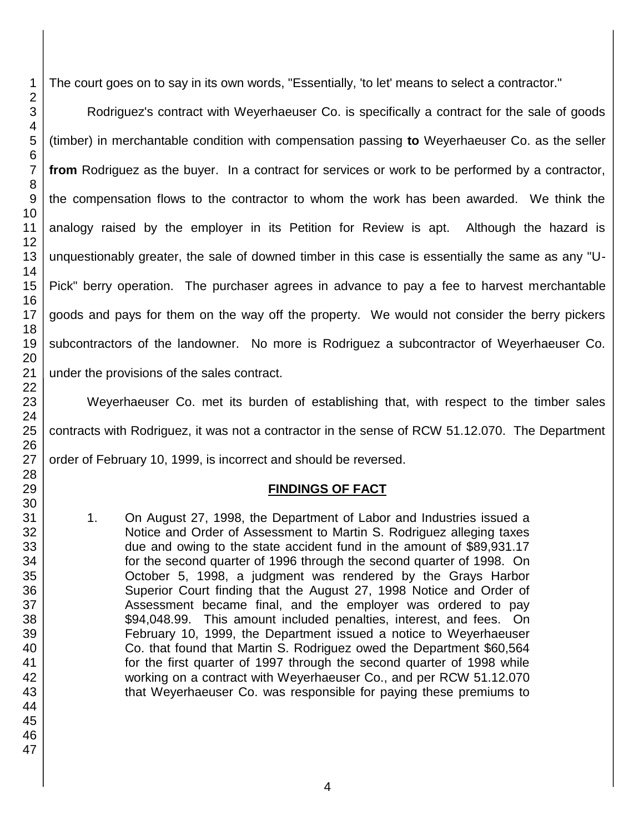The court goes on to say in its own words, "Essentially, 'to let' means to select a contractor."

Rodriguez's contract with Weyerhaeuser Co. is specifically a contract for the sale of goods (timber) in merchantable condition with compensation passing **to** Weyerhaeuser Co. as the seller **from** Rodriguez as the buyer. In a contract for services or work to be performed by a contractor, the compensation flows to the contractor to whom the work has been awarded. We think the analogy raised by the employer in its Petition for Review is apt. Although the hazard is unquestionably greater, the sale of downed timber in this case is essentially the same as any "U-Pick" berry operation. The purchaser agrees in advance to pay a fee to harvest merchantable goods and pays for them on the way off the property. We would not consider the berry pickers subcontractors of the landowner. No more is Rodriguez a subcontractor of Weyerhaeuser Co. under the provisions of the sales contract.

Weyerhaeuser Co. met its burden of establishing that, with respect to the timber sales contracts with Rodriguez, it was not a contractor in the sense of RCW 51.12.070. The Department order of February 10, 1999, is incorrect and should be reversed.

### **FINDINGS OF FACT**

1. On August 27, 1998, the Department of Labor and Industries issued a Notice and Order of Assessment to Martin S. Rodriguez alleging taxes due and owing to the state accident fund in the amount of \$89,931.17 for the second quarter of 1996 through the second quarter of 1998. On October 5, 1998, a judgment was rendered by the Grays Harbor Superior Court finding that the August 27, 1998 Notice and Order of Assessment became final, and the employer was ordered to pay \$94,048.99. This amount included penalties, interest, and fees. On February 10, 1999, the Department issued a notice to Weyerhaeuser Co. that found that Martin S. Rodriguez owed the Department \$60,564 for the first quarter of 1997 through the second quarter of 1998 while working on a contract with Weyerhaeuser Co., and per RCW 51.12.070 that Weyerhaeuser Co. was responsible for paying these premiums to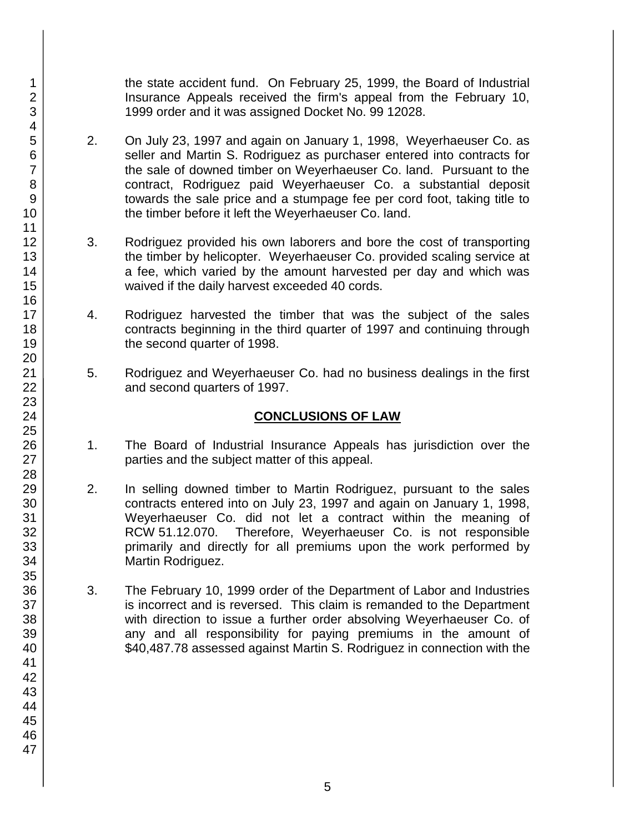the state accident fund. On February 25, 1999, the Board of Industrial Insurance Appeals received the firm's appeal from the February 10, 1999 order and it was assigned Docket No. 99 12028.

- 2. On July 23, 1997 and again on January 1, 1998, Weyerhaeuser Co. as seller and Martin S. Rodriguez as purchaser entered into contracts for the sale of downed timber on Weyerhaeuser Co. land. Pursuant to the contract, Rodriguez paid Weyerhaeuser Co. a substantial deposit towards the sale price and a stumpage fee per cord foot, taking title to the timber before it left the Weyerhaeuser Co. land.
- 3. Rodriguez provided his own laborers and bore the cost of transporting the timber by helicopter. Weyerhaeuser Co. provided scaling service at a fee, which varied by the amount harvested per day and which was waived if the daily harvest exceeded 40 cords.
- 4. Rodriguez harvested the timber that was the subject of the sales contracts beginning in the third quarter of 1997 and continuing through the second quarter of 1998.
- 5. Rodriguez and Weyerhaeuser Co. had no business dealings in the first and second quarters of 1997.

## **CONCLUSIONS OF LAW**

- 1. The Board of Industrial Insurance Appeals has jurisdiction over the parties and the subject matter of this appeal.
- 2. In selling downed timber to Martin Rodriguez, pursuant to the sales contracts entered into on July 23, 1997 and again on January 1, 1998, Weyerhaeuser Co. did not let a contract within the meaning of RCW 51.12.070. Therefore, Weyerhaeuser Co. is not responsible primarily and directly for all premiums upon the work performed by Martin Rodriguez.
- 3. The February 10, 1999 order of the Department of Labor and Industries is incorrect and is reversed. This claim is remanded to the Department with direction to issue a further order absolving Weyerhaeuser Co. of any and all responsibility for paying premiums in the amount of \$40,487.78 assessed against Martin S. Rodriguez in connection with the